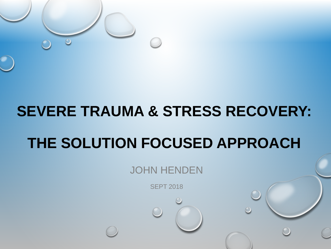

## **SEVERE TRAUMA & STRESS RECOVERY:**

# **THE SOLUTION FOCUSED APPROACH**

### JOHN HENDEN

SEPT 2018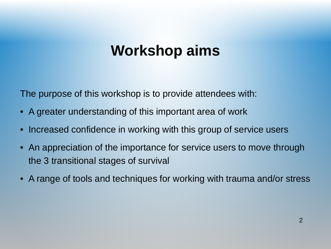## **Workshop aims**

The purpose of this workshop is to provide attendees with:

- A greater understanding of this important area of work
- Increased confidence in working with this group of service users
- An appreciation of the importance for service users to move through the 3 transitional stages of survival
- A range of tools and techniques for working with trauma and/or stress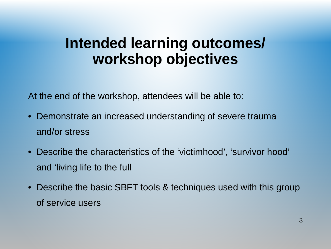### **Intended learning outcomes/ workshop objectives**

At the end of the workshop, attendees will be able to:

- Demonstrate an increased understanding of severe trauma and/or stress
- Describe the characteristics of the 'victimhood', 'survivor hood' and 'living life to the full
- Describe the basic SBFT tools & techniques used with this group of service users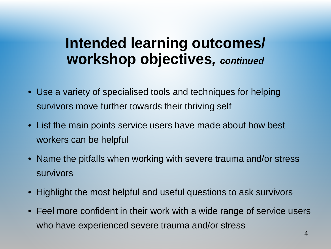### **Intended learning outcomes/ workshop objectives***, continued*

- Use a variety of specialised tools and techniques for helping survivors move further towards their thriving self
- List the main points service users have made about how best workers can be helpful
- Name the pitfalls when working with severe trauma and/or stress survivors
- Highlight the most helpful and useful questions to ask survivors
- Feel more confident in their work with a wide range of service users who have experienced severe trauma and/or stress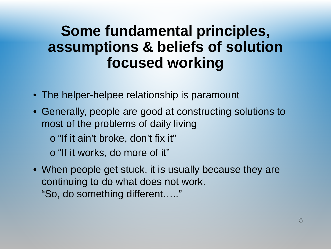### **Some fundamental principles, assumptions & beliefs of solution focused working**

- The helper-helpee relationship is paramount
- Generally, people are good at constructing solutions to most of the problems of daily living o "If it ain't broke, don't fix it" o "If it works, do more of it"
- When people get stuck, it is usually because they are continuing to do what does not work. "So, do something different….."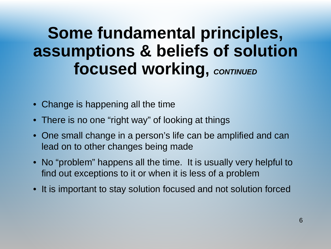# **Some fundamental principles, assumptions & beliefs of solution focused working, CONTINUED**

- Change is happening all the time
- There is no one "right way" of looking at things
- One small change in a person's life can be amplified and can lead on to other changes being made
- No "problem" happens all the time. It is usually very helpful to find out exceptions to it or when it is less of a problem
- It is important to stay solution focused and not solution forced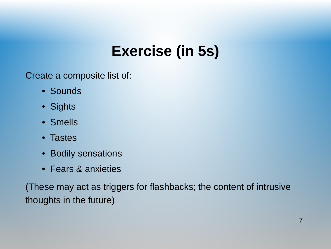## **Exercise (in 5s)**

Create a composite list of:

- Sounds
- Sights
- Smells
- Tastes
- Bodily sensations
- Fears & anxieties

(These may act as triggers for flashbacks; the content of intrusive thoughts in the future)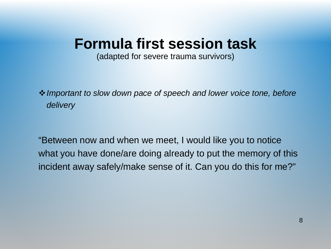### **Formula first session task**

(adapted for severe trauma survivors)

*Important to slow down pace of speech and lower voice tone, before delivery*

"Between now and when we meet, I would like you to notice what you have done/are doing already to put the memory of this incident away safely/make sense of it. Can you do this for me?"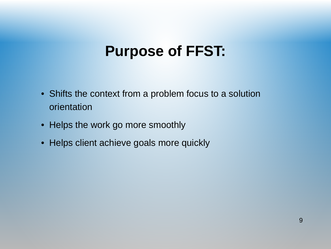## **Purpose of FFST:**

- Shifts the context from a problem focus to a solution orientation
- Helps the work go more smoothly
- Helps client achieve goals more quickly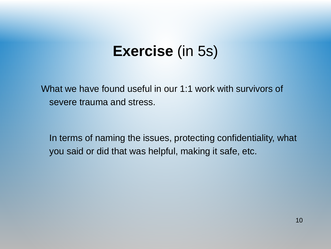### **Exercise** (in 5s)

What we have found useful in our 1:1 work with survivors of severe trauma and stress.

In terms of naming the issues, protecting confidentiality, what you said or did that was helpful, making it safe, etc.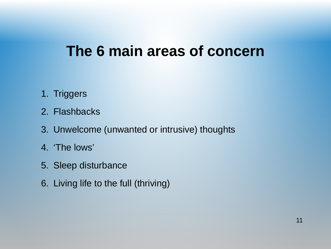### **The 6 main areas of concern**

- 1. Triggers
- 2. Flashbacks
- 3. Unwelcome (unwanted or intrusive) thoughts
- 4. 'The lows'
- 5. Sleep disturbance
- 6. Living life to the full (thriving)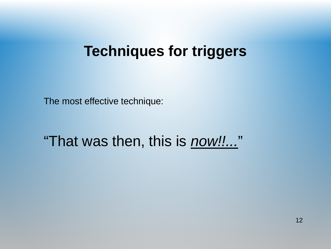### **Techniques for triggers**

The most effective technique:

"That was then, this is *now!!...*"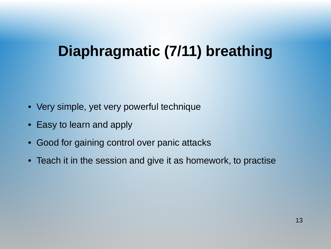## **Diaphragmatic (7/11) breathing**

- Very simple, yet very powerful technique
- Easy to learn and apply
- Good for gaining control over panic attacks
- Teach it in the session and give it as homework, to practise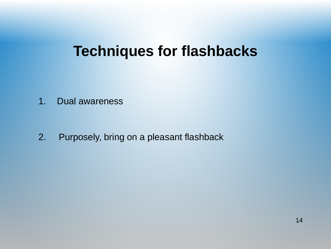### **Techniques for flashbacks**

1. Dual awareness

2. Purposely, bring on a pleasant flashback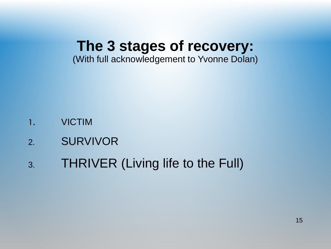# **The 3 stages of recovery:**

(With full acknowledgement to Yvonne Dolan)

- 1. VICTIM
- 2. SURVIVOR
- 3. THRIVER (Living life to the Full)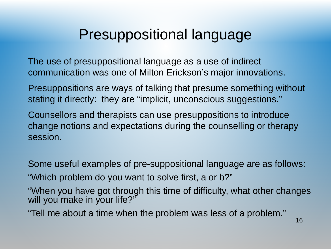### Presuppositional language

The use of presuppositional language as a use of indirect communication was one of Milton Erickson's major innovations.

Presuppositions are ways of talking that presume something without stating it directly: they are "implicit, unconscious suggestions."

Counsellors and therapists can use presuppositions to introduce change notions and expectations during the counselling or therapy session.

Some useful examples of pre-suppositional language are as follows: "Which problem do you want to solve first, a or b?" "When you have got through this time of difficulty, what other changes will you make in your life?"

"Tell me about a time when the problem was less of a problem."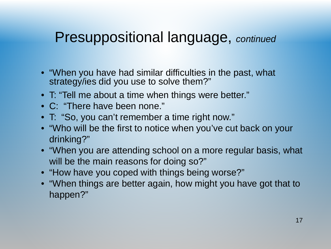### Presuppositional language, *continued*

- "When you have had similar difficulties in the past, what strategy/ies did you use to solve them?"
- T: "Tell me about a time when things were better."
- C: "There have been none."
- T: "So, you can't remember a time right now."
- "Who will be the first to notice when you've cut back on your drinking?"
- "When you are attending school on a more regular basis, what will be the main reasons for doing so?"
- "How have you coped with things being worse?"
- "When things are better again, how might you have got that to happen?"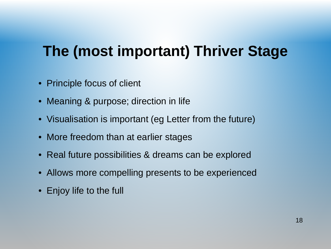## **The (most important) Thriver Stage**

- Principle focus of client
- Meaning & purpose; direction in life
- Visualisation is important (eg Letter from the future)
- More freedom than at earlier stages
- Real future possibilities & dreams can be explored
- Allows more compelling presents to be experienced
- Enjoy life to the full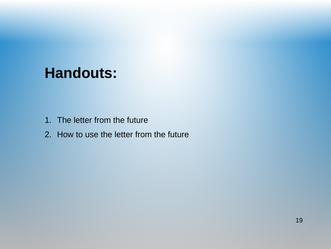### **Handouts:**

- 1. The letter from the future
- 2. How to use the letter from the future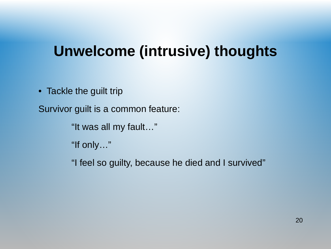## **Unwelcome (intrusive) thoughts**

• Tackle the guilt trip

Survivor guilt is a common feature:

"It was all my fault…"

"If only…"

"I feel so guilty, because he died and I survived"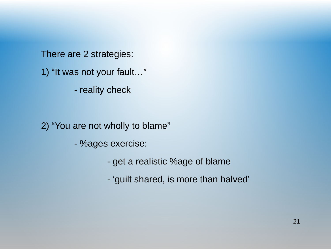There are 2 strategies:

- 1) "It was not your fault…"
	- reality check

2) "You are not wholly to blame"

- %ages exercise:

- get a realistic %age of blame
- 'guilt shared, is more than halved'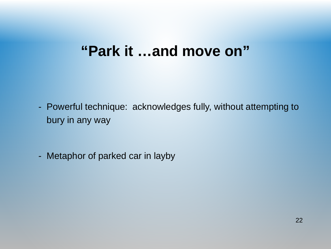### **"Park it …and move on"**

- Powerful technique: acknowledges fully, without attempting to bury in any way

- Metaphor of parked car in layby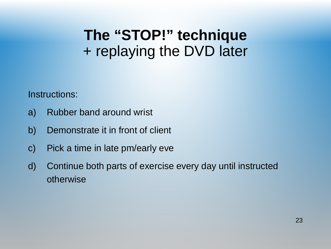## **The "STOP!" technique** + replaying the DVD later

Instructions:

- a) Rubber band around wrist
- b) Demonstrate it in front of client
- c) Pick a time in late pm/early eve
- d) Continue both parts of exercise every day until instructed otherwise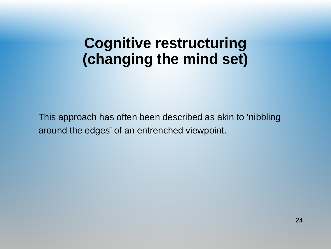### **Cognitive restructuring (changing the mind set)**

This approach has often been described as akin to 'nibbling around the edges' of an entrenched viewpoint.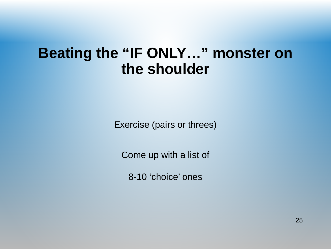### **Beating the "IF ONLY…" monster on the shoulder**

Exercise (pairs or threes)

Come up with a list of

8-10 'choice' ones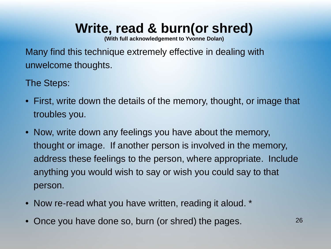## **Write, read & burn(or shred)**

**(With full acknowledgement to Yvonne Dolan)**

Many find this technique extremely effective in dealing with unwelcome thoughts.

The Steps:

- First, write down the details of the memory, thought, or image that troubles you.
- Now, write down any feelings you have about the memory, thought or image. If another person is involved in the memory, address these feelings to the person, where appropriate. Include anything you would wish to say or wish you could say to that person.
- Now re-read what you have written, reading it aloud.  $*$
- Once you have done so, burn (or shred) the pages. 26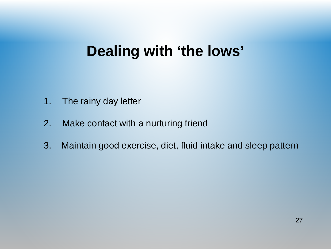### **Dealing with 'the lows'**

- 1. The rainy day letter
- 2. Make contact with a nurturing friend
- 3. Maintain good exercise, diet, fluid intake and sleep pattern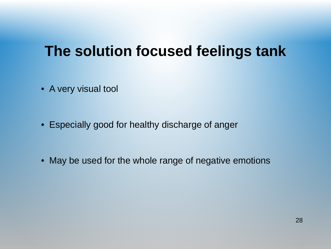### **The solution focused feelings tank**

• A very visual tool

- Especially good for healthy discharge of anger
- May be used for the whole range of negative emotions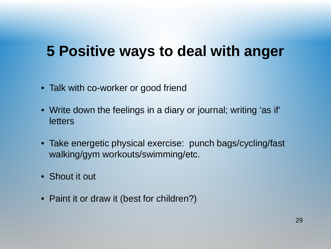### **5 Positive ways to deal with anger**

- Talk with co-worker or good friend
- Write down the feelings in a diary or journal; writing 'as if' **letters**
- Take energetic physical exercise: punch bags/cycling/fast walking/gym workouts/swimming/etc.
- Shout it out
- Paint it or draw it (best for children?)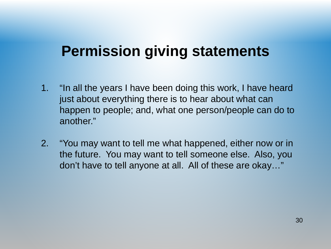### **Permission giving statements**

- 1. "In all the years I have been doing this work, I have heard just about everything there is to hear about what can happen to people; and, what one person/people can do to another."
- 2. "You may want to tell me what happened, either now or in the future. You may want to tell someone else. Also, you don't have to tell anyone at all. All of these are okay…"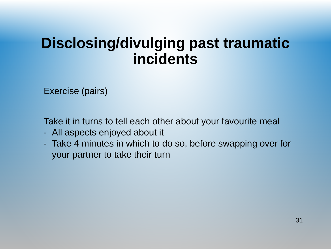### **Disclosing/divulging past traumatic incidents**

Exercise (pairs)

Take it in turns to tell each other about your favourite meal

- All aspects enjoyed about it
- Take 4 minutes in which to do so, before swapping over for your partner to take their turn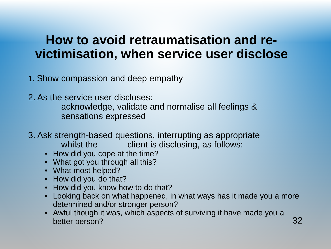### **How to avoid retraumatisation and revictimisation, when service user disclose**

1. Show compassion and deep empathy

2. As the service user discloses: acknowledge, validate and normalise all feelings & sensations expressed

- 3. Ask strength-based questions, interrupting as appropriate whilst the client is disclosing, as follows:
	- How did you cope at the time?
	- What got you through all this?
	- What most helped?
	- How did you do that?
	- How did you know how to do that?
	- Looking back on what happened, in what ways has it made you a more determined and/or stronger person?
	- Awful though it was, which aspects of surviving it have made you a better person? 32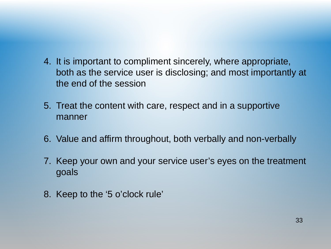- 4. It is important to compliment sincerely, where appropriate, both as the service user is disclosing; and most importantly at the end of the session
- 5. Treat the content with care, respect and in a supportive manner
- 6. Value and affirm throughout, both verbally and non-verbally
- 7. Keep your own and your service user's eyes on the treatment goals
- 8. Keep to the '5 o'clock rule'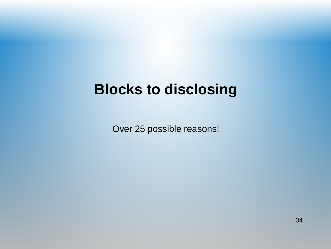### **Blocks to disclosing**

Over 25 possible reasons!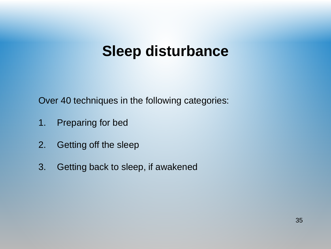### **Sleep disturbance**

Over 40 techniques in the following categories:

- 1. Preparing for bed
- 2. Getting off the sleep
- 3. Getting back to sleep, if awakened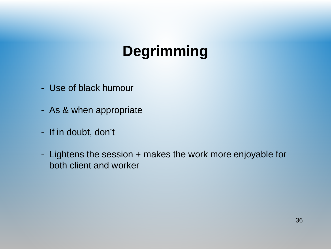# **Degrimming**

- Use of black humour
- As & when appropriate
- If in doubt, don't
- Lightens the session + makes the work more enjoyable for both client and worker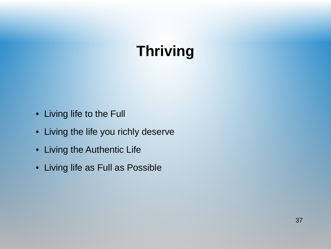# **Thriving**

- Living life to the Full
- Living the life you richly deserve
- Living the Authentic Life
- Living life as Full as Possible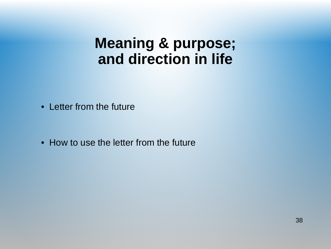### **Meaning & purpose; and direction in life**

• Letter from the future

• How to use the letter from the future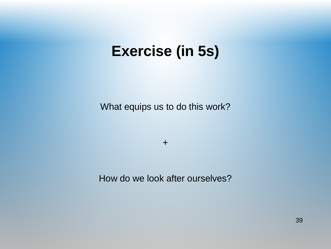### **Exercise (in 5s)**

What equips us to do this work?

 $+$ 

How do we look after ourselves?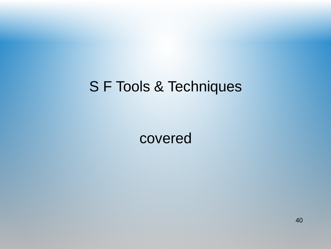## S F Tools & Techniques

covered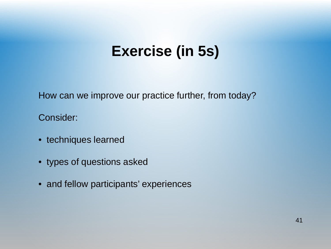## **Exercise (in 5s)**

How can we improve our practice further, from today?

Consider:

- techniques learned
- types of questions asked
- and fellow participants' experiences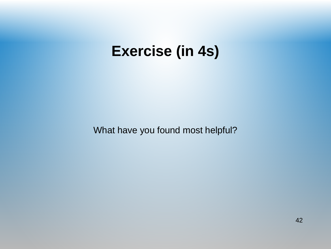## **Exercise (in 4s)**

What have you found most helpful?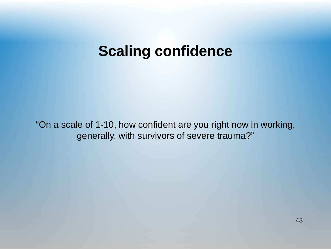### **Scaling confidence**

"On a scale of 1-10, how confident are you right now in working, generally, with survivors of severe trauma?"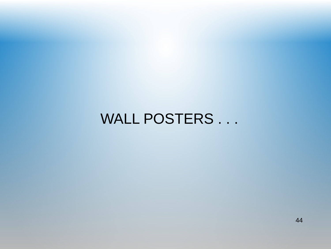WALL POSTERS . . .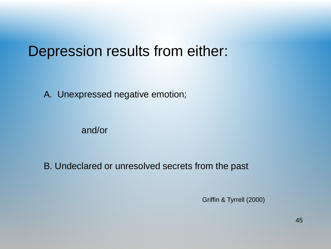### Depression results from either:

A. Unexpressed negative emotion;

and/or

B. Undeclared or unresolved secrets from the past

Griffin & Tyrrell (2000)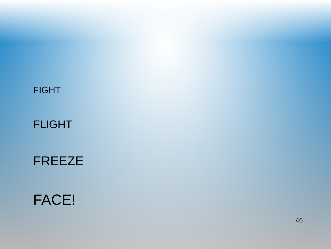### FREEZE

FIGHT

FLIGHT

### FACE!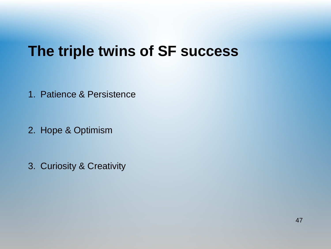### **The triple twins of SF success**

1. Patience & Persistence

2. Hope & Optimism

3. Curiosity & Creativity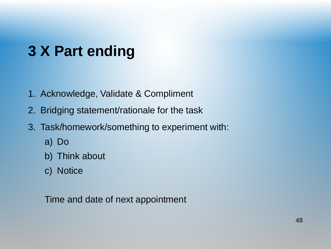# **3 X Part ending**

- 1. Acknowledge, Validate & Compliment
- 2. Bridging statement/rationale for the task
- 3. Task/homework/something to experiment with:
	- a) Do
	- b) Think about
	- c) Notice

Time and date of next appointment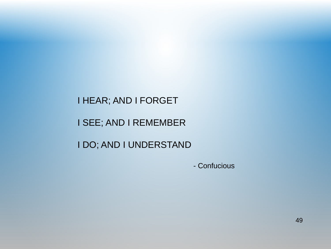#### I HEAR; AND I FORGET

#### I SEE; AND I REMEMBER

### I DO; AND I UNDERSTAND

- Confucious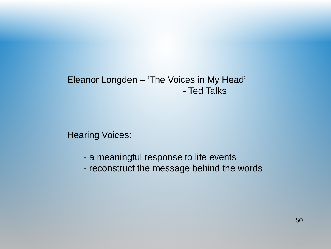#### Eleanor Longden – 'The Voices in My Head' - Ted Talks

**Hearing Voices:** 

- a meaningful response to life events
- reconstruct the message behind the words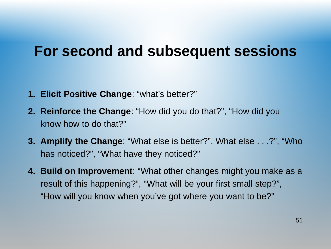### **For second and subsequent sessions**

- **1. Elicit Positive Change**: "what's better?"
- **2. Reinforce the Change**: "How did you do that?", "How did you know how to do that?"
- **3. Amplify the Change**: "What else is better?", What else . . .?", "Who has noticed?", "What have they noticed?"
- **4. Build on Improvement**: "What other changes might you make as a result of this happening?", "What will be your first small step?", "How will you know when you've got where you want to be?"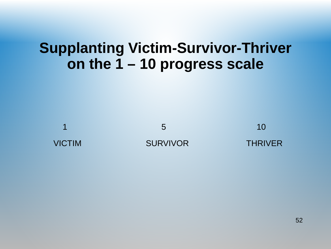### **Supplanting Victim-Survivor-Thriver on the 1 – 10 progress scale**

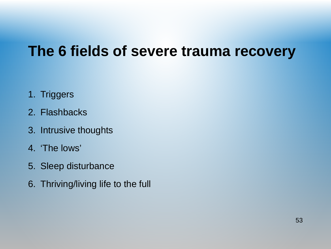### **The 6 fields of severe trauma recovery**

- 1. Triggers
- 2. Flashbacks
- 3. Intrusive thoughts
- 4. 'The lows'
- 5. Sleep disturbance
- 6. Thriving/living life to the full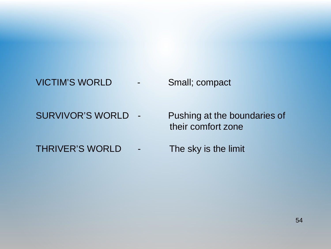#### VICTIM'S WORLD - Small; compact

- SURVIVOR'S WORLD Pushing at the boundaries of their comfort zone
- THRIVER'S WORLD The sky is the limit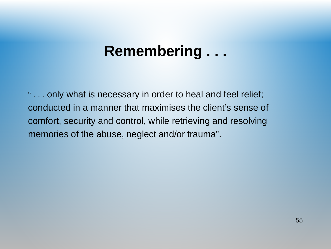### **Remembering . . .**

" . . . only what is necessary in order to heal and feel relief; conducted in a manner that maximises the client's sense of comfort, security and control, while retrieving and resolving memories of the abuse, neglect and/or trauma".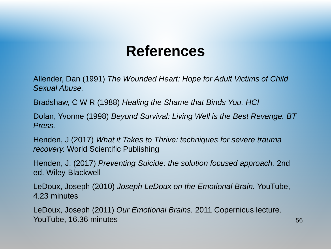### **References**

Allender, Dan (1991) *The Wounded Heart: Hope for Adult Victims of Child Sexual Abuse.*

Bradshaw, C W R (1988) *Healing the Shame that Binds You. HCI*

Dolan, Yvonne (1998) *Beyond Survival: Living Well is the Best Revenge. BT Press.*

Henden, J (2017) *What it Takes to Thrive: techniques for severe trauma recovery.* World Scientific Publishing

Henden, J. (2017) *Preventing Suicide: the solution focused approach.* 2nd ed. Wiley-Blackwell

LeDoux, Joseph (2010) *Joseph LeDoux on the Emotional Brain.* YouTube, 4.23 minutes

LeDoux, Joseph (2011) *Our Emotional Brains.* 2011 Copernicus lecture. YouTube, 16.36 minutes 56